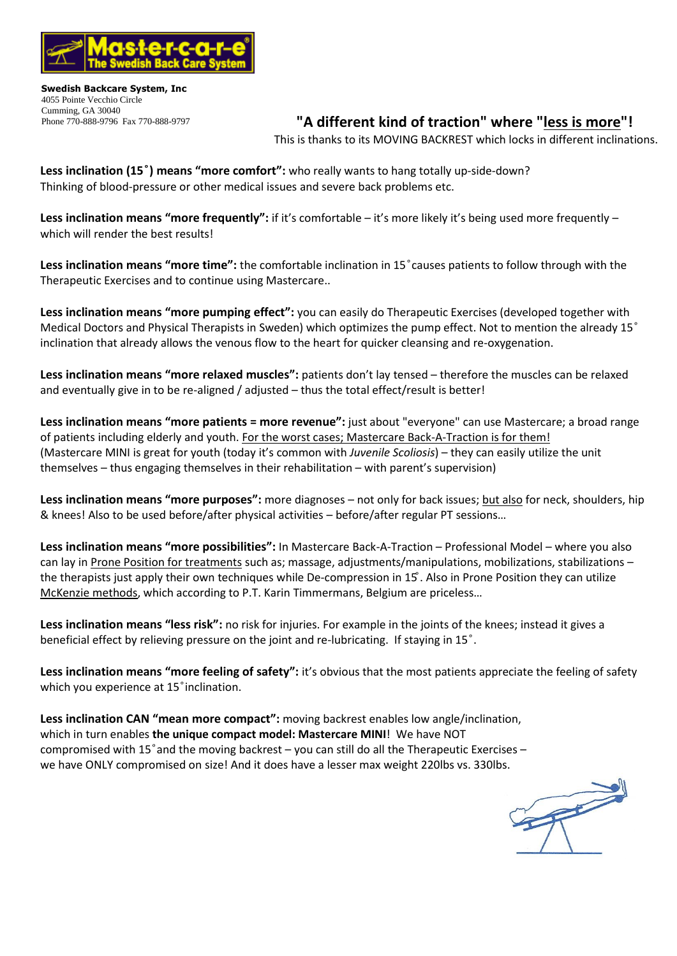

**Swedish Backcare System, Inc** 4055 Pointe Vecchio Circle Cumming, GA 30040 Phone 770-888-9796 Fax 770-888-9797

## **"A different kind of traction" where "less is more"!**

This is thanks to its MOVING BACKREST which locks in different inclinations.

**Less inclination (15 ) means "more comfort":** who really wants to hang totally up-side-down? Thinking of blood-pressure or other medical issues and severe back problems etc.

**Less inclination means "more frequently":** if it's comfortable – it's more likely it's being used more frequently – which will render the hest results!

**Less inclination means "more time":** the comfortable inclination in 15 causes patients to follow through with the Therapeutic Exercises and to continue using Mastercare..

**Less inclination means "more pumping effect":** you can easily do Therapeutic Exercises (developed together with Medical Doctors and Physical Therapists in Sweden) which optimizes the pump effect. Not to mention the already 15° inclination that already allows the venous flow to the heart for quicker cleansing and re-oxygenation.

**Less inclination means "more relaxed muscles":** patients don't lay tensed – therefore the muscles can be relaxed and eventually give in to be re-aligned / adjusted – thus the total effect/result is better!

**Less inclination means "more patients = more revenue":** just about "everyone" can use Mastercare; a broad range of patients including elderly and youth. For the worst cases; Mastercare Back-A-Traction is for them! (Mastercare MINI is great for youth (today it's common with *Juvenile Scoliosis*) – they can easily utilize the unit themselves – thus engaging themselves in their rehabilitation – with parent's supervision)

**Less inclination means "more purposes":** more diagnoses – not only for back issues; but also for neck, shoulders, hip & knees! Also to be used before/after physical activities – before/after regular PT sessions…

**Less inclination means "more possibilities":** In Mastercare Back-A-Traction – Professional Model – where you also can lay in Prone Position for treatments such as; massage, adjustments/manipulations, mobilizations, stabilizations – the therapists just apply their own techniques while De-compression in 15. Also in Prone Position they can utilize McKenzie methods, which according to P.T. Karin Timmermans, Belgium are priceless…

**Less inclination means "less risk":** no risk for injuries. For example in the joints of the knees; instead it gives a beneficial effect by relieving pressure on the joint and re-lubricating. If staying in 15°.

**Less inclination means "more feeling of safety":** it's obvious that the most patients appreciate the feeling of safety which you experience at 15<sup>°</sup> inclination.

**Less inclination CAN "mean more compact":** moving backrest enables low angle/inclination, which in turn enables **the unique compact model: Mastercare MINI**! We have NOT compromised with 15 $^{\circ}$  and the moving backrest – you can still do all the Therapeutic Exercises – we have ONLY compromised on size! And it does have a lesser max weight 220lbs vs. 330lbs.

N